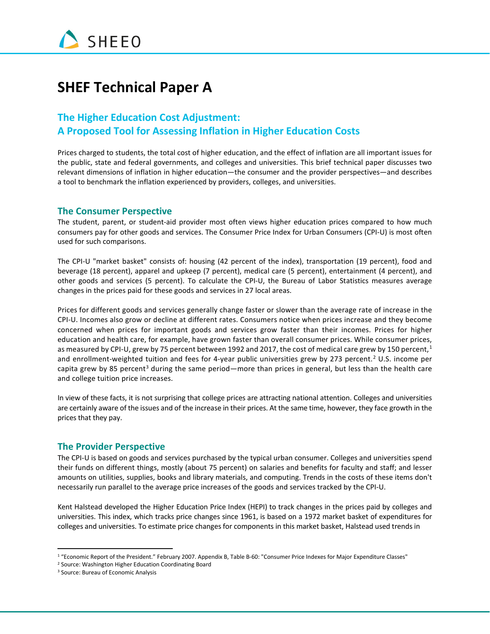

# **SHEF Technical Paper A**

# **The Higher Education Cost Adjustment: A Proposed Tool for Assessing Inflation in Higher Education Costs**

Prices charged to students, the total cost of higher education, and the effect of inflation are all important issues for the public, state and federal governments, and colleges and universities. This brief technical paper discusses two relevant dimensions of inflation in higher education—the consumer and the provider perspectives—and describes a tool to benchmark the inflation experienced by providers, colleges, and universities.

### **The Consumer Perspective**

The student, parent, or student-aid provider most often views higher education prices compared to how much consumers pay for other goods and services. The Consumer Price Index for Urban Consumers (CPI-U) is most often used for such comparisons.

The CPI-U "market basket" consists of: housing (42 percent of the index), transportation (19 percent), food and beverage (18 percent), apparel and upkeep (7 percent), medical care (5 percent), entertainment (4 percent), and other goods and services (5 percent). To calculate the CPI-U, the Bureau of Labor Statistics measures average changes in the prices paid for these goods and services in 27 local areas.

Prices for different goods and services generally change faster or slower than the average rate of increase in the CPI-U. Incomes also grow or decline at different rates. Consumers notice when prices increase and they become concerned when prices for important goods and services grow faster than their incomes. Prices for higher education and health care, for example, have grown faster than overall consumer prices. While consumer prices, as measured by CPI-U, grew by 75 percent between [1](#page-0-0)992 and 2017, the cost of medical care grew by 150 percent,<sup>1</sup> and enrollment-weighted tuition and fees for 4-year public universities grew by 273 percent. [2](#page-0-1) U.S. income per capita grew by 85 percent<sup>[3](#page-0-2)</sup> during the same period—more than prices in general, but less than the health care and college tuition price increases.

In view of these facts, it is not surprising that college prices are attracting national attention. Colleges and universities are certainly aware of the issues and of the increase in their prices. At the same time, however, they face growth in the prices that they pay.

## **The Provider Perspective**

The CPI-U is based on goods and services purchased by the typical urban consumer. Colleges and universities spend their funds on different things, mostly (about 75 percent) on salaries and benefits for faculty and staff; and lesser amounts on utilities, supplies, books and library materials, and computing. Trends in the costs of these items don't necessarily run parallel to the average price increases of the goods and services tracked by the CPI-U.

Kent Halstead developed the Higher Education Price Index (HEPI) to track changes in the prices paid by colleges and universities. This index, which tracks price changes since 1961, is based on a 1972 market basket of expenditures for colleges and universities. To estimate price changes for components in this market basket, Halstead used trends in

<span id="page-0-0"></span><sup>&</sup>lt;sup>1</sup> "Economic Report of the President." February 2007. Appendix B, Table B-60: "Consumer Price Indexes for Major Expenditure Classes"<br><sup>2</sup> Source: Washington Higher Education Coordinating Board

<span id="page-0-1"></span>

<span id="page-0-2"></span><sup>3</sup> Source: Bureau of Economic Analysis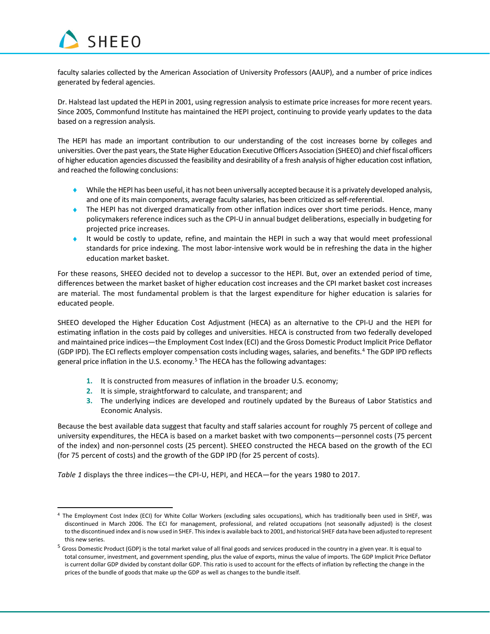

l

faculty salaries collected by the American Association of University Professors (AAUP), and a number of price indices generated by federal agencies.

Dr. Halstead last updated the HEPI in 2001, using regression analysis to estimate price increases for more recent years. Since 2005, Commonfund Institute has maintained the HEPI project, continuing to provide yearly updates to the data based on a regression analysis.

The HEPI has made an important contribution to our understanding of the cost increases borne by colleges and universities. Over the past years, the State Higher Education Executive Officers Association (SHEEO) and chief fiscal officers of higher education agencies discussed the feasibility and desirability of a fresh analysis of higher education cost inflation, and reached the following conclusions:

- ♦ While the HEPI has been useful, it has not been universally accepted because it is a privately developed analysis, and one of its main components, average faculty salaries, has been criticized as self-referential.
- ♦ The HEPI has not diverged dramatically from other inflation indices over short time periods. Hence, many policymakers reference indices such as the CPI-U in annual budget deliberations, especially in budgeting for projected price increases.
- ♦ It would be costly to update, refine, and maintain the HEPI in such a way that would meet professional standards for price indexing. The most labor-intensive work would be in refreshing the data in the higher education market basket.

For these reasons, SHEEO decided not to develop a successor to the HEPI. But, over an extended period of time, differences between the market basket of higher education cost increases and the CPI market basket cost increases are material. The most fundamental problem is that the largest expenditure for higher education is salaries for educated people.

SHEEO developed the Higher Education Cost Adjustment (HECA) as an alternative to the CPI-U and the HEPI for estimating inflation in the costs paid by colleges and universities. HECA is constructed from two federally developed and maintained price indices—the Employment Cost Index (ECI) and the Gross Domestic Product Implicit Price Deflator (GDP IPD). The ECI reflects employer compensation costs including wages, salaries, and benefits.[4](#page-1-0) The GDP IPD reflects general price inflation in the U.S. economy. [5](#page-1-1) The HECA has the following advantages:

- **1.** It is constructed from measures of inflation in the broader U.S. economy;
- **2.** It is simple, straightforward to calculate, and transparent; and
- **3.** The underlying indices are developed and routinely updated by the Bureaus of Labor Statistics and Economic Analysis.

Because the best available data suggest that faculty and staff salaries account for roughly 75 percent of college and university expenditures, the HECA is based on a market basket with two components—personnel costs (75 percent of the index) and non-personnel costs (25 percent). SHEEO constructed the HECA based on the growth of the ECI (for 75 percent of costs) and the growth of the GDP IPD (for 25 percent of costs).

*Table 1* displays the three indices—the CPI-U, HEPI, and HECA—for the years 1980 to 2017.

<span id="page-1-0"></span><sup>4</sup> The Employment Cost Index (ECI) for White Collar Workers (excluding sales occupations), which has traditionally been used in SHEF, was discontinued in March 2006. The ECI for management, professional, and related occupations (not seasonally adjusted) is the closest to the discontinued index and is now used in SHEF. This index is available back to 2001, and historical SHEF data have been adjusted to represent this new series.

<span id="page-1-1"></span><sup>&</sup>lt;sup>5</sup> Gross Domestic Product (GDP) is the total market value of all final goods and services produced in the country in a given year. It is equal to total consumer, investment, and government spending, plus the value of exports, minus the value of imports. The GDP Implicit Price Deflator is current dollar GDP divided by constant dollar GDP. This ratio is used to account for the effects of inflation by reflecting the change in the prices of the bundle of goods that make up the GDP as well as changes to the bundle itself.